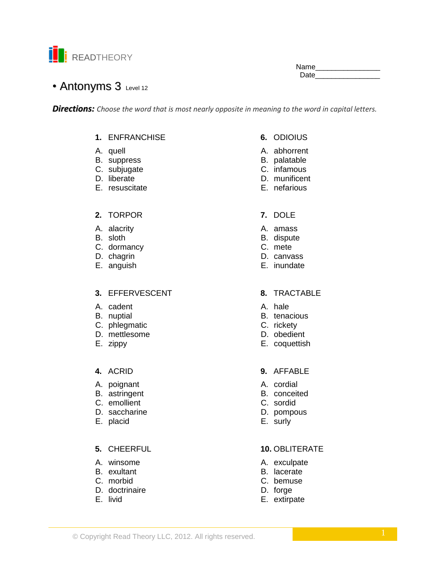

Name\_\_\_ Date and the state of the state of the state of the state of the state of the state of the state of the state o

# • Antonyms 3 Level 12

**Directions:** Choose the word that is most nearly opposite in meaning to the word in capital letters.

### 1. ENFRANCHISE

- A. quell
- B. suppress
- C. subjugate
- D. liberate
- E. resuscitate

#### 2. TORPOR

- A. alacrity
- B. sloth
- C. dormancy
- D. chagrin
- E. anguish

### 3. EFFERVESCENT

- A. cadent
- B. nuptial
- C. phlegmatic
- D. mettlesome
- E. zippy

### 4. ACRID

- A. poignant
- B. astringent
- C. emollient
- D. saccharine
- E. placid

### 5. CHEERFUL

- A. winsome
- B. exultant
- C. morbid
- D. doctrinaire
- E. livid

## 6. ODIOIUS

- A. abhorrent
- B. palatable
- C. infamous
- D. munificent
- E. nefarious
- 7. DOLE
- A. amass
- B. dispute
- C. mete
- D. canvass
- E. inundate

#### 8. TRACTABLE

- A hale
- B. tenacious
- C. rickety
- D. obedient
- E. coquettish

#### 9. AFFABLE

- A. cordial
- B. conceited
- C. sordid
- D. pompous
- E. surly

### **10. OBLITERATE**

- A. exculpate
- B. lacerate
- C. bemuse
- D. forge
- E. extirpate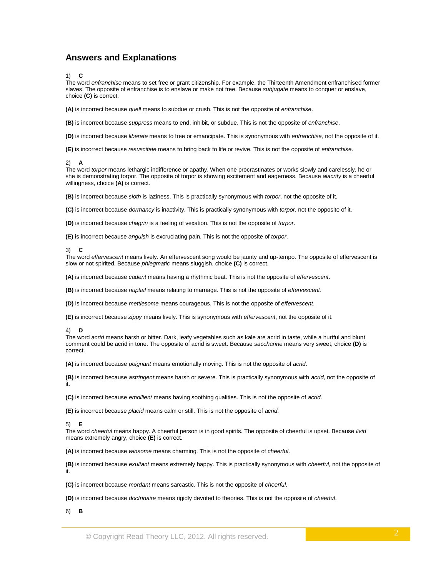## **Answers and Explanations**

1) **C**

The word *enfranchise* means to set free or grant citizenship. For example, the Thirteenth Amendment enfranchised former slaves. The opposite of enfranchise is to enslave or make not free. Because *subjugate* means to conquer or enslave, choice **(C)** is correct.

**(A)** is incorrect because *quell* means to subdue or crush. This is not the opposite of *enfranchise*.

**(B)** is incorrect because *suppress* means to end, inhibit, or subdue. This is not the opposite of *enfranchise*.

**(D)** is incorrect because *liberate* means to free or emancipate. This is synonymous with *enfranchise*, not the opposite of it.

**(E)** is incorrect because *resuscitate* means to bring back to life or revive. This is not the opposite of *enfranchise*.

#### 2) **A**

The word *torpor* means lethargic indifference or apathy. When one procrastinates or works slowly and carelessly, he or she is demonstrating torpor. The opposite of torpor is showing excitement and eagerness. Because *alacrity* is a cheerful willingness, choice **(A)** is correct.

**(B)** is incorrect because *sloth* is laziness. This is practically synonymous with *torpor*, not the opposite of it.

**(C)** is incorrect because *dormancy* is inactivity. This is practically synonymous with *torpor*, not the opposite of it.

**(D)** is incorrect because *chagrin* is a feeling of vexation. This is not the opposite of *torpor*.

**(E)** is incorrect because *anguish* is excruciating pain. This is not the opposite of *torpor*.

#### 3) **C**

The word *effervescent* means lively. An effervescent song would be jaunty and up-tempo. The opposite of effervescent is slow or not spirited. Because *phlegmatic* means sluggish, choice **(C)** is correct.

**(A)** is incorrect because *cadent* means having a rhythmic beat. This is not the opposite of *effervescent*.

**(B)** is incorrect because *nuptial* means relating to marriage. This is not the opposite of *effervescent*.

**(D)** is incorrect because *mettlesome* means courageous. This is not the opposite of *effervescent*.

**(E)** is incorrect because *zippy* means lively. This is synonymous with *effervescent*, not the opposite of it.

#### 4) **D**

The word *acrid* means harsh or bitter. Dark, leafy vegetables such as kale are acrid in taste, while a hurtful and blunt comment could be acrid in tone. The opposite of acrid is sweet. Because *saccharine* means very sweet, choice **(D)** is correct.

**(A)** is incorrect because *poignant* means emotionally moving. This is not the opposite of *acrid*.

**(B)** is incorrect because *astringent* means harsh or severe. This is practically synonymous with *acrid*, not the opposite of it.

**(C)** is incorrect because *emollient* means having soothing qualities. This is not the opposite of *acrid*.

**(E)** is incorrect because *placid* means calm or still. This is not the opposite of *acrid*.

5) **E**

The word *cheerful* means happy. A cheerful person is in good spirits. The opposite of cheerful is upset. Because *livid* means extremely angry, choice **(E)** is correct.

**(A)** is incorrect because *winsome* means charming. This is not the opposite of *cheerful*.

**(B)** is incorrect because *exultant* means extremely happy. This is practically synonymous with *cheerful*, not the opposite of it.

**(C)** is incorrect because *mordant* means sarcastic. This is not the opposite of *cheerful*.

**(D)** is incorrect because *doctrinaire* means rigidly devoted to theories. This is not the opposite of *cheerful*.

6) **B**